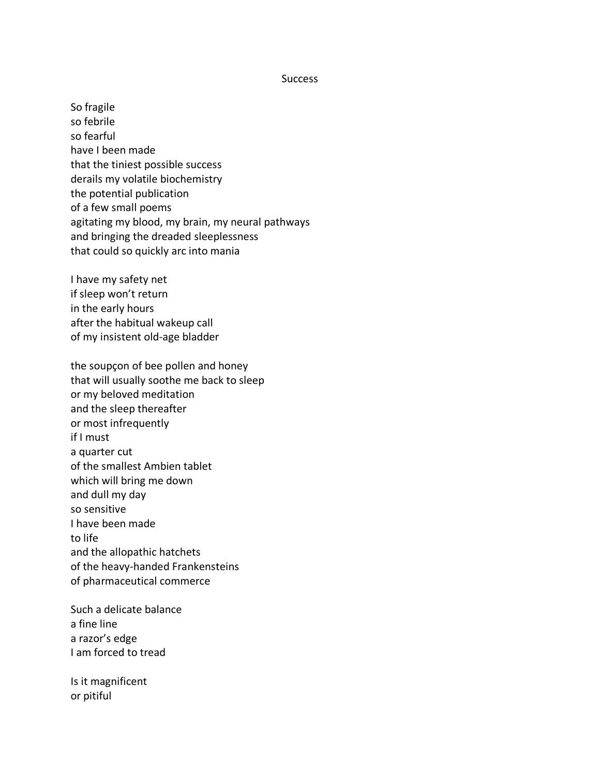## **Success**

So fragile so febrile so fearful have I been made that the tiniest possible success derails my volatile biochemistry the potential publication of a few small poems agitating my blood, my brain, my neural pathways and bringing the dreaded sleeplessness that could so quickly arc into mania

I have my safety net if sleep won't return in the early hours after the habitual wakeup call of my insistent old-age bladder

the soupçon of bee pollen and honey that will usually soothe me back to sleep or my beloved meditation and the sleep thereafter or most infrequently if I must a quarter cut of the smallest Ambien tablet which will bring me down and dull my day so sensitive I have been made to life and the allopathic hatchets of the heavy-handed Frankensteins of pharmaceutical commerce

Such a delicate balance a fine line a razor's edge I am forced to tread

Is it magnificent or pitiful